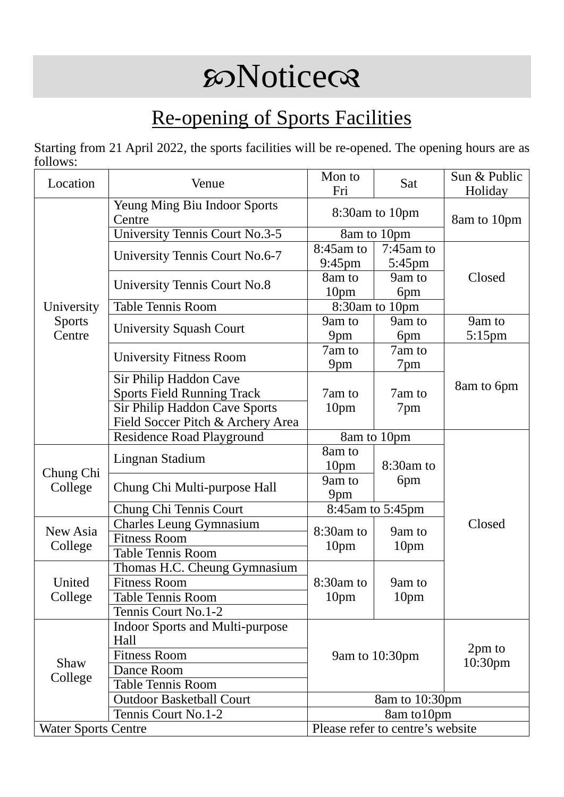## **SONotice**

## Re-opening of Sports Facilities

Starting from 21 April 2022, the sports facilities will be re-opened. The opening hours are as follows:

| Location                              | Venue                                                                                        | Mon to<br>Fri                           | Sat                        | Sun & Public<br>Holiday |
|---------------------------------------|----------------------------------------------------------------------------------------------|-----------------------------------------|----------------------------|-------------------------|
|                                       | Yeung Ming Biu Indoor Sports<br>Centre                                                       | 8:30am to 10pm                          |                            | 8am to 10pm             |
| University<br><b>Sports</b><br>Centre | <b>University Tennis Court No.3-5</b>                                                        |                                         | 8am to 10pm                |                         |
|                                       | University Tennis Court No.6-7                                                               | 8:45am to<br>$9:45$ pm                  | $7:45$ am to<br>5:45pm     |                         |
|                                       | University Tennis Court No.8                                                                 | 8am to<br>10pm                          | 9am to<br>6pm              | Closed                  |
|                                       | <b>Table Tennis Room</b>                                                                     |                                         | 8:30am to 10pm             |                         |
|                                       | <b>University Squash Court</b>                                                               | 9am to<br>9 <sub>pm</sub>               | 9am to<br>6pm              | 9am to<br>$5:15$ pm     |
|                                       | <b>University Fitness Room</b>                                                               | 7am to<br>9 <sub>pm</sub>               | 7am to<br>7pm              |                         |
|                                       | Sir Philip Haddon Cave<br><b>Sports Field Running Track</b><br>Sir Philip Haddon Cave Sports | 7am to<br>10pm                          | 7am to<br>7pm              | 8am to 6pm              |
|                                       | Field Soccer Pitch & Archery Area                                                            |                                         |                            |                         |
|                                       | <b>Residence Road Playground</b>                                                             |                                         | 8am to 10pm                |                         |
| Chung Chi<br>College                  | Lingnan Stadium                                                                              | 8am to<br>10 <sub>pm</sub><br>8:30am to |                            |                         |
|                                       | Chung Chi Multi-purpose Hall                                                                 | 9am to<br>9pm                           | 6pm                        |                         |
|                                       | Chung Chi Tennis Court                                                                       | 8:45am to 5:45pm                        |                            |                         |
| New Asia                              | <b>Charles Leung Gymnasium</b>                                                               | 8:30am to<br>10pm                       | 9am to<br>10 <sub>pm</sub> | Closed                  |
| College                               | <b>Fitness Room</b>                                                                          |                                         |                            |                         |
|                                       | <b>Table Tennis Room</b>                                                                     |                                         |                            |                         |
| United<br>College                     | Thomas H.C. Cheung Gymnasium                                                                 | 8:30am to<br>10pm                       | 9am to<br>10pm             |                         |
|                                       | <b>Fitness Room</b>                                                                          |                                         |                            |                         |
|                                       | Table Tennis Room                                                                            |                                         |                            |                         |
|                                       | Tennis Court No.1-2                                                                          |                                         |                            |                         |
| Shaw<br>College                       | <b>Indoor Sports and Multi-purpose</b><br>Hall                                               | 9am to 10:30pm                          |                            | 2pm to<br>10:30pm       |
|                                       | <b>Fitness Room</b>                                                                          |                                         |                            |                         |
|                                       | Dance Room                                                                                   |                                         |                            |                         |
|                                       | <b>Table Tennis Room</b>                                                                     |                                         |                            |                         |
|                                       | <b>Outdoor Basketball Court</b>                                                              | 8am to 10:30pm                          |                            |                         |
|                                       | Tennis Court No.1-2                                                                          | 8am to 10pm                             |                            |                         |
| <b>Water Sports Centre</b>            |                                                                                              | Please refer to centre's website        |                            |                         |